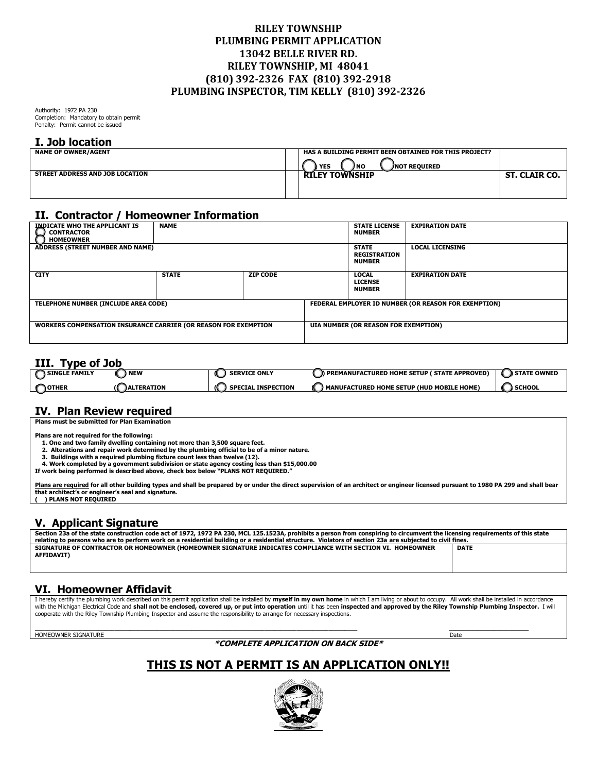## **RILEY TOWNSHIP PLUMBING PERMIT APPLICATION 13042 BELLE RIVER RD. RILEY TOWNSHIP, MI 48041 (810) 392-2326 FAX (810) 392-2918 PLUMBING INSPECTOR, TIM KELLY (810) 392-2326**

Authority: 1972 PA 230 Completion: Mandatory to obtain permit Penalty: Permit cannot be issued

#### **I. Job location**

| <b>NAME OF OWNER/AGENT</b>      | HAS A BUILDING PERMIT BEEN OBTAINED FOR THIS PROJECT? |               |
|---------------------------------|-------------------------------------------------------|---------------|
|                                 | YES<br>) NO<br><b>JNOT REOUIRED</b>                   |               |
| STREET ADDRESS AND JOB LOCATION | <b>RILEY TOWNSHIP</b>                                 | ST. CLAIR CO. |
|                                 |                                                       |               |
|                                 |                                                       |               |

# **II. Contractor / Homeowner Information**

| <b>INDICATE WHO THE APPLICANT IS</b><br><b>CONTRACTOR</b><br><b>HOMEOWNER</b> | <b>NAME</b>  |                                                      |  | <b>STATE LICENSE</b><br><b>NUMBER</b>                | <b>EXPIRATION DATE</b> |
|-------------------------------------------------------------------------------|--------------|------------------------------------------------------|--|------------------------------------------------------|------------------------|
| ADDRESS (STREET NUMBER AND NAME)                                              |              |                                                      |  | <b>STATE</b><br><b>REGISTRATION</b><br><b>NUMBER</b> | <b>LOCAL LICENSING</b> |
| <b>CITY</b>                                                                   | <b>STATE</b> | <b>ZIP CODE</b>                                      |  | <b>LOCAL</b><br><b>LICENSE</b><br><b>NUMBER</b>      | <b>EXPIRATION DATE</b> |
| TELEPHONE NUMBER (INCLUDE AREA CODE)                                          |              | FEDERAL EMPLOYER ID NUMBER (OR REASON FOR EXEMPTION) |  |                                                      |                        |
| <b>WORKERS COMPENSATION INSURANCE CARRIER (OR REASON FOR EXEMPTION</b>        |              | UIA NUMBER (OR REASON FOR EXEMPTION)                 |  |                                                      |                        |

#### **III. Type of Job**

| -----                |                         |                           |                                              |                    |
|----------------------|-------------------------|---------------------------|----------------------------------------------|--------------------|
| <b>SINGLE FAMILY</b> | , NEW                   | <b>SERVICE ONLY</b>       | PREMANUFACTURED HOME SETUP ( STATE APPROVED) | <b>STATE OWNED</b> |
| <b>OTHER</b>         | <b>LTERATION</b><br>ıлı | <b>SPECIAL INSPECTION</b> | ) MANUFACTURED HOME SETUP (HUD MOBILE HOME)  | <b>SCHOOL</b>      |

### **IV. Plan Review required**

**Plans must be submitted for Plan Examination**

**Plans are not required for the following:**

- **1. One and two family dwelling containing not more than 3,500 square feet.**
- **2. Alterations and repair work determined by the plumbing official to be of a minor nature. 3. Buildings with a required plumbing fixture count less than twelve (12).**
- 
- **4. Work completed by a government subdivision or state agency costing less than \$15,000.00 If work being performed is described above, check box below "PLANS NOT REQUIRED."**

<u>Plans are required</u> for all other building types and shall be prepared by or under the direct supervision of an architect or engineer licensed pursuant to 1980 PA 299 and shall bear<br>that architect's or engineer's seal and **( ) PLANS NOT REQUIRED**

### **V. Applicant Signature**

| Section 23a of the state construction code act of 1972, 1972 PA 230, MCL 125.1523A, prohibits a person from conspiring to circumvent the licensing requirements of this state |             |  |  |  |  |
|-------------------------------------------------------------------------------------------------------------------------------------------------------------------------------|-------------|--|--|--|--|
| relating to persons who are to perform work on a residential building or a residential structure. Violators of section 23a are subjected to civil fines.                      |             |  |  |  |  |
| SIGNATURE OF CONTRACTOR OR HOMEOWNER (HOMEOWNER SIGNATURE INDICATES COMPLIANCE WITH SECTION VI. HOMEOWNER                                                                     | <b>DATE</b> |  |  |  |  |
| <b>AFFIDAVIT)</b>                                                                                                                                                             |             |  |  |  |  |
|                                                                                                                                                                               |             |  |  |  |  |

### **VI. Homeowner Affidavit**

I hereby certify the plumbing work described on this permit application shall be installed by **myself in my own home** in which I am living or about to occupy. All work shall be installed in accordance with the Michigan Electrical Code and **shall not be enclosed, covered up, or put into operation** until it has been **inspected and approved by the Riley Township Plumbing Inspector.** I will<br>cooperate with the Riley Township

 $\mathcal{L}_\mathcal{L} = \{ \mathcal{L}_\mathcal{L} = \{ \mathcal{L}_\mathcal{L} = \{ \mathcal{L}_\mathcal{L} = \{ \mathcal{L}_\mathcal{L} = \{ \mathcal{L}_\mathcal{L} = \{ \mathcal{L}_\mathcal{L} = \{ \mathcal{L}_\mathcal{L} = \{ \mathcal{L}_\mathcal{L} = \{ \mathcal{L}_\mathcal{L} = \{ \mathcal{L}_\mathcal{L} = \{ \mathcal{L}_\mathcal{L} = \{ \mathcal{L}_\mathcal{L} = \{ \mathcal{L}_\mathcal{L} = \{ \mathcal{L}_\mathcal{$ HOMEOWNER SIGNATURE **Date** 

#### **\*COMPLETE APPLICATION ON BACK SIDE\***

# **THIS IS NOT A PERMIT IS AN APPLICATION ONLY!!**